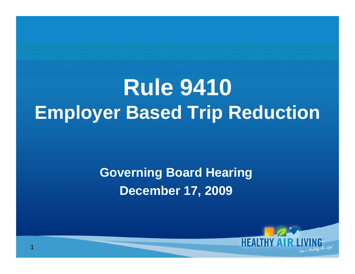**Rule 9410 Employer Based Trip Reduction**

#### **Governing Board Hearing December 17, 2009**

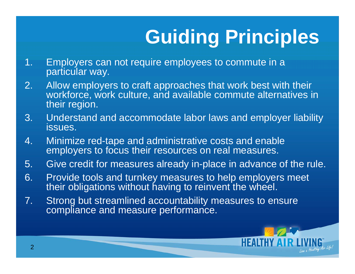# **Guiding Principles**

- 1. Employers can not require employees to commute in a particular way.
- 2. Allow employers to craft approaches that work best with their workforce, work culture, and available commute alternatives in their region.
- 3. Understand and accommodate labor laws and employer liability issues.
- 4. Minimize red-tape and administrative costs and enable employers to focus their resources on real measures.
- 5. Give credit for measures already in-place in advance of the rule.
- 6. Provide tools and turnkey measures to help employers meet their obligations without having to reinvent the wheel.
- 7. Strong but streamlined accountability measures to ensure compliance and measure performance.

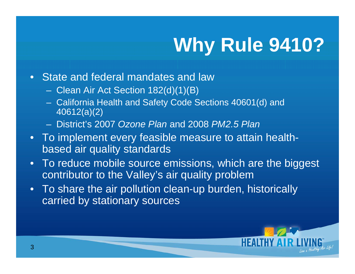# **Why Rule 9410?**

- State and federal mandates and law
	- Clean Air Act Section 182(d)(1)(B)
	- California Health and Safety Code Sections 40601(d) and 40612(a)(2)
	- District's 2007 *Ozone Plan* and 2008 *PM2.5 Plan*
- To implement every feasible measure to attain healthbased air quality standards
- To reduce mobile source emissions, which are the biggest contributor to the Valley's air quality problem
- To share the air pollution clean-up burden, historically carried by stationary sources

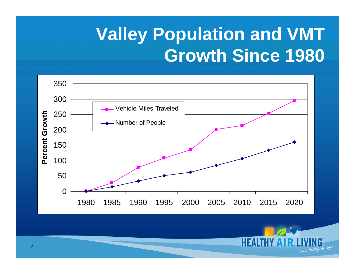### **Valley Population and VMT Growth Since 1980**



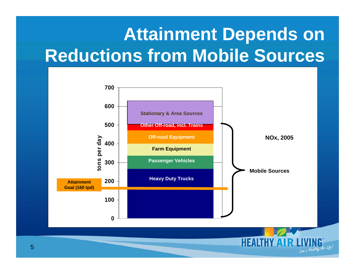#### **Attainment Depends on Reductions from Mobile Sources**



Live a Healthy Air Life!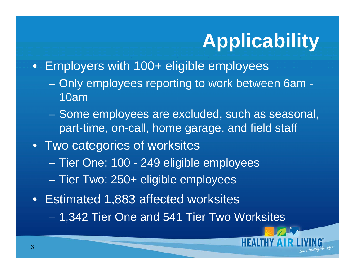# **Applicability**

- Employers with 100+ eligible employees
	- Only employees reporting to work between 6am 10am
	- Some employees are excluded, such as seasonal, part-time, on-call, home garage, and field staff
- Two categories of worksites  $\mathcal{L}_{\mathcal{A}}$  Tier One: 100 - 249 eligible employees  $\mathcal{L}_{\mathcal{A}}$ Tier Two: 250+ eligible employees
- Estimated 1,883 affected worksites
	- $\mathcal{L}_{\mathcal{A}}$ 1,342 Tier One and 541 Tier Two Worksites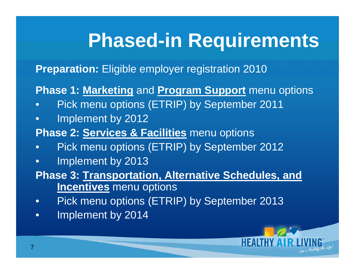## **Phased-in Requirements**

**Preparation:** Eligible employer registration 2010

**Phase 1: Marketing** and **Program Support** menu options

- $\bullet$ Pick menu options (ETRIP) by September 2011
- •Implement by 2012
- **Phase 2: Services & Facilities** menu options
- $\bullet$ Pick menu options (ETRIP) by September 2012
- •Implement by 2013
- **Phase 3: Transportation, Alternative Schedules, and Incentives** menu options
- •Pick menu options (ETRIP) by September 2013
- •Implement by 2014

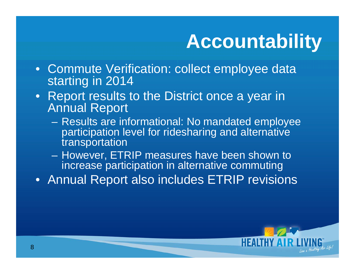# **Accountability**

- Commute Verification: collect employee data starting in 2014
- Report results to the District once a year in Annual Report
	- Results are informational: No mandated employee participation level for ridesharing and alternative transportation
	- – However, ETRIP measures have been shown to increase participation in alternative commuting
- Annual Report also includes ETRIP revisions

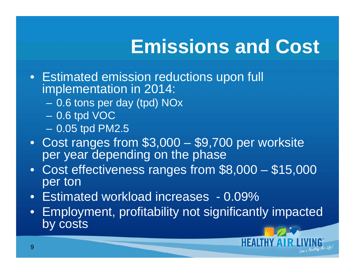# **Emissions and Cost**

- Estimated emission reductions upon full implementation in 2014:
	- 0.6 tons per day (tpd) NOx
	- – 0.6 tpd VOC 0.05 tpd PM2.5
- Cost ranges from \$3,000 \$9,700 per worksite per year depending on the phase
- Cost effectiveness ranges from \$8,000 \$15,000 per ton
- Estimated workload increases 0.09%
- Employment, profitability not significantly impacted by costs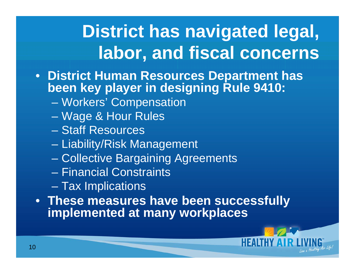### **District has navigated legal, labor, and fiscal concerns**

- **District Human Resources Department has been key player in designing Rule 9410:** 
	- $\mathcal{L}_{\mathcal{A}}$ Workers' Compensation
	- $\mathcal{L}_{\mathcal{A}}$ Wage & Hour Rules
	- Staff Resources
	- Liability/Risk Management
	- $\mathcal{L}_{\mathcal{A}}$ Collective Bargaining Agreements
	- Financial Constraints
	- Tax Implications
- **These measures have been successfully implemented at many workplaces**

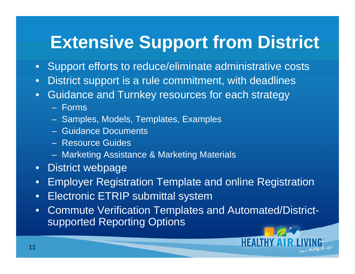#### **Extensive Support from District**

- $\bullet$ Support efforts to reduce/eliminate administrative costs
- •District support is a rule commitment, with deadlines
- • Guidance and Turnkey resources for each strategy
	- Forms
	- Samples, Models, Templates, Examples
	- Guidance Documents
	- Resource Guides
	- Marketing Assistance & Marketing Materials
- $\bullet$ District webpage
- •Employer Registration Template and online Registration
- •Electronic ETRIP submittal system
- • Commute Verification Templates and Automated/Districtsupported Reporting Options

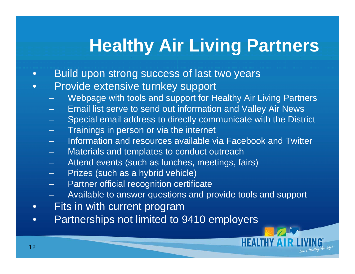### **Healthy Air Living Partners**

- •Build upon strong success of last two years
- • Provide extensive turnkey support
	- Webpage with tools and support for Healthy Air Living Partners
	- Email list serve to send out information and Valley Air News
	- Special email address to directly communicate with the District
	- Trainings in person or via the internet
	- Information and resources available via Facebook and Twitter
	- Materials and templates to conduct outreach
	- Attend events (such as lunches, meetings, fairs)
	- Prizes (such as a hybrid vehicle)
	- Partner official recognition certificate
	- Available to answer questions and provide tools and support
- •Fits in with current program
- $\bullet$ Partnerships not limited to 9410 employers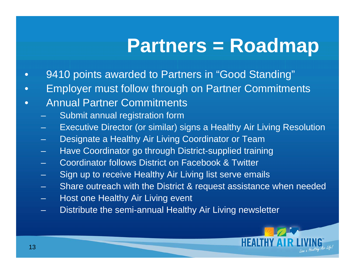### **Partners = Roadmap**

- •9410 points awarded to Partners in "Good Standing"
- $\bullet$ Employer must follow through on Partner Commitments
- $\bullet$  Annual Partner Commitments
	- Submit annual registration form
	- Executive Director (or similar) signs a Healthy Air Living Resolution
	- Designate a Healthy Air Living Coordinator or Team
	- Have Coordinator go through District-supplied training
	- Coordinator follows District on Facebook & Twitter
	- Sign up to receive Healthy Air Living list serve emails
	- Share outreach with the District & request assistance when needed
	- Host one Healthy Air Living event
	- Distribute the semi-annual Healthy Air Living newsletter

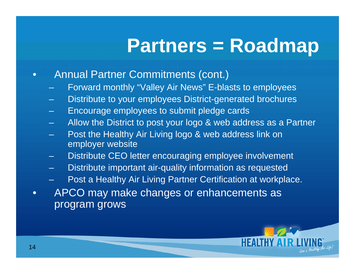### **Partners = Roadmap**

- • Annual Partner Commitments (cont.)
	- Forward monthly "Valley Air News" E-blasts to employees
	- Distribute to your employees District-generated brochures
	- Encourage employees to submit pledge cards
	- Allow the District to post your logo & web address as a Partner
	- Post the Healthy Air Living logo & web address link on employer website
	- Distribute CEO letter encouraging employee involvement
	- Distribute important air-quality information as requested
	- Post a Healthy Air Living Partner Certification at workplace.
- $\bullet$  APCO may make changes or enhancements as program grows

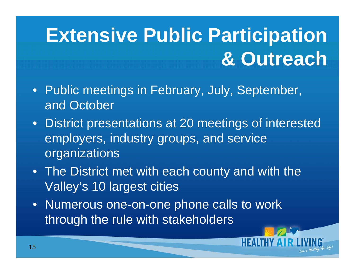# **Extensive Public Participation & Outreach**

- Public meetings in February, July, September, and October
- • District presentations at 20 meetings of interested employers, industry groups, and service organizations
- The District met with each county and with the Valley's 10 largest cities
- Numerous one-on-one phone calls to work through the rule with stakeholders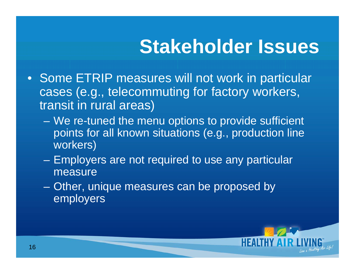- Some ETRIP measures will not work in particular cases (e.g., telecommuting for factory workers, transit in rural areas)
	- We re-tuned the menu options to provide sufficient points for all known situations (e.g., production line workers)
	- Employers are not required to use any particular measure
	- Other, unique measures can be proposed by employers

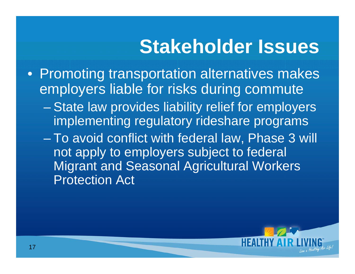- Promoting transportation alternatives makes employers liable for risks during commute
	- en al control de la control de State law provides liability relief for employers implementing regulatory rideshare programs
	- To avoid conflict with federal law, Phase 3 will not apply to employers subject to federal Migrant and Seasonal Agricultural Workers Protection Act

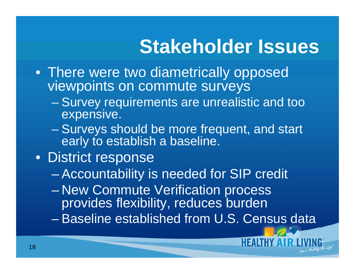- There were two diametrically opposed viewpoints on commute surveys
	- – Survey requirements are unrealistic and too expensive.
	- en al control de la control de Surveys should be more frequent, and start early to establish a baseline.
- District response

 $\mathcal{L}_{\mathcal{A}}$ Accountability is needed for SIP credit

- $\mathcal{L}_{\mathcal{A}}$  New Commute Verification process provides flexibility, reduces burden
- Baseline established from U.S. Census data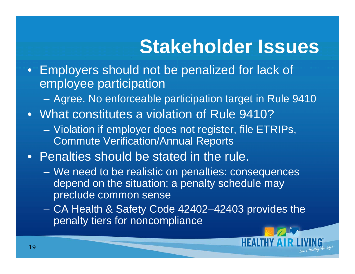- Employers should not be penalized for lack of employee participation
	- Agree. No enforceable participation target in Rule 9410
- What constitutes a violation of Rule 9410?
	- Violation if employer does not register, file ETRIPs, Commute Verification/Annual Reports
- Penalties should be stated in the rule.
	- We need to be realistic on penalties: consequences depend on the situation; a penalty schedule may preclude common sense
	- CA Health & Safety Code 42402–42403 provides the penalty tiers for noncompliance

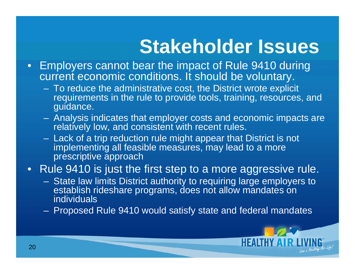- Employers cannot bear the impact of Rule 9410 during current economic conditions. It should be voluntary.
	- To reduce the administrative cost, the District wrote explicit requirements in the rule to provide tools, training, resources, and guidance.
	- Analysis indicates that employer costs and economic impacts are relatively low, and consistent with recent rules.
	- Lack of a trip reduction rule might appear that District is not implementing all feasible measures, may lead to a more prescriptive approach
- Rule 9410 is just the first step to a more aggressive rule.
	- $\mathcal{L}_{\mathcal{A}}$  State law limits District authority to requiring large employers to establish rideshare programs, does not allow mandates on individuals
	- Proposed Rule 9410 would satisfy state and federal mandates